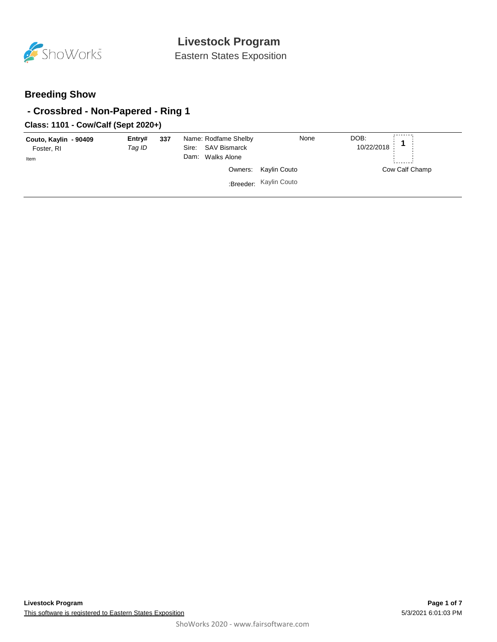

Eastern States Exposition

### **Breeding Show**

### **- Crossbred - Non-Papered - Ring 1**

### **Class: 1101 - Cow/Calf (Sept 2020+)**

| Couto, Kaylin - 90409<br>Foster, RI<br>Item | Entry#<br>Tag ID | 337 | Name: Rodfame Shelby<br>SAV Bismarck<br>Sire:<br>Dam: Walks Alone | None                                           | DOB:<br>10/22/2018 |
|---------------------------------------------|------------------|-----|-------------------------------------------------------------------|------------------------------------------------|--------------------|
|                                             |                  |     |                                                                   | Owners: Kaylin Couto<br>:Breeder: Kaylin Couto | Cow Calf Champ     |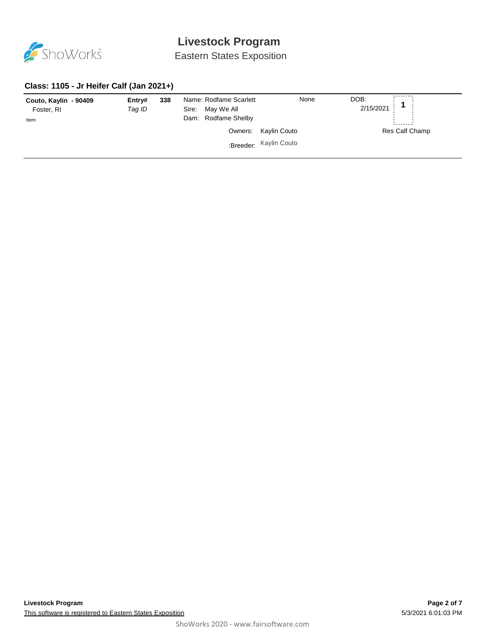

Eastern States Exposition

#### **Class: 1105 - Jr Heifer Calf (Jan 2021+)**

| Couto, Kaylin - 90409<br>Foster, RI<br>Item | Entry#<br>Tag ID | 338 | Name: Rodfame Scarlett<br>Sire: May We All<br>Dam: Rodfame Shelby | None                                           | DOB:<br>2/15/2021 |  |  |
|---------------------------------------------|------------------|-----|-------------------------------------------------------------------|------------------------------------------------|-------------------|--|--|
|                                             |                  |     |                                                                   | Owners: Kaylin Couto<br>:Breeder: Kaylin Couto | Res Calf Champ    |  |  |
|                                             |                  |     |                                                                   |                                                |                   |  |  |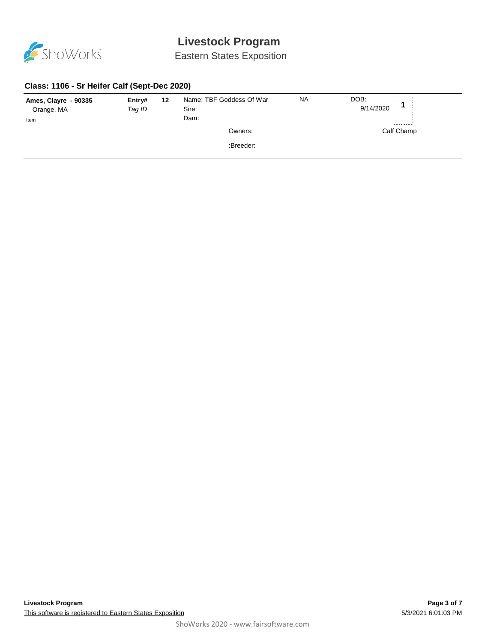

Eastern States Exposition

#### **Class: 1106 - Sr Heifer Calf (Sept-Dec 2020)**

| Ames, Clayre - 90335<br>Orange, MA<br>Item | Entry#<br>Tag ID | Name: TBF Goddess Of War<br>12<br>Sire:<br>Dam: |  |           | <b>NA</b> | DOB:<br>9/14/2020 | ________   |  |
|--------------------------------------------|------------------|-------------------------------------------------|--|-----------|-----------|-------------------|------------|--|
|                                            |                  |                                                 |  | Owners:   |           |                   | Calf Champ |  |
|                                            |                  |                                                 |  | :Breeder: |           |                   |            |  |
|                                            |                  |                                                 |  |           |           |                   |            |  |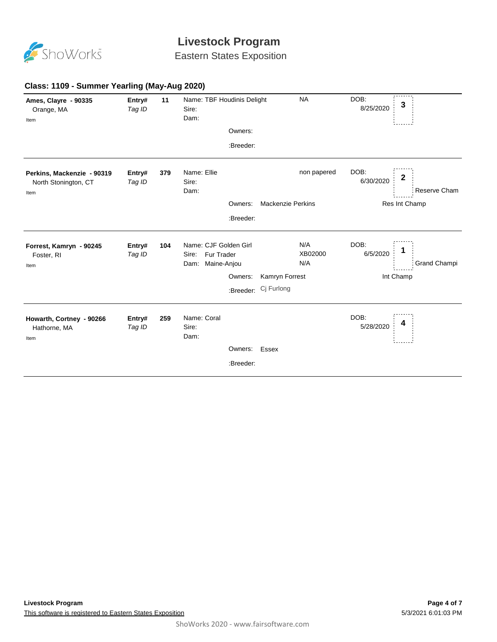

Eastern States Exposition

| Ames, Clayre - 90335<br>Orange, MA<br>Item                 | Entry#<br>Tag ID | 11  | Name: TBF Houdinis Delight<br>Sire:<br>Dam:                      | <b>NA</b>                | DOB:<br>3<br>8/25/2020                  |
|------------------------------------------------------------|------------------|-----|------------------------------------------------------------------|--------------------------|-----------------------------------------|
|                                                            |                  |     | Owners:                                                          |                          |                                         |
|                                                            |                  |     | :Breeder:                                                        |                          |                                         |
| Perkins, Mackenzie - 90319<br>North Stonington, CT<br>Item | Entry#<br>Tag ID | 379 | Name: Ellie<br>Sire:<br>Dam:                                     | non papered              | DOB:<br>2<br>6/30/2020<br>Reserve Cham  |
|                                                            |                  |     | Owners:                                                          | <b>Mackenzie Perkins</b> | Res Int Champ                           |
|                                                            |                  |     | :Breeder:                                                        |                          |                                         |
| Forrest, Kamryn - 90245<br>Foster, RI<br>Item              | Entry#<br>Tag ID | 104 | Name: CJF Golden Girl<br>Fur Trader<br>Sire:<br>Dam: Maine-Anjou | N/A<br>XB02000<br>N/A    | DOB:<br>6/5/2020<br><b>Grand Champi</b> |
|                                                            |                  |     | Owners:                                                          | Kamryn Forrest           | Int Champ                               |
|                                                            |                  |     | :Breeder:                                                        | Cj Furlong               |                                         |
| Howarth, Cortney - 90266<br>Hathorne, MA<br>Item           | Entry#<br>Tag ID | 259 | Name: Coral<br>Sire:<br>Dam:                                     |                          | DOB:<br>4<br>5/28/2020                  |
|                                                            |                  |     | Owners: Essex                                                    |                          |                                         |
|                                                            |                  |     | :Breeder:                                                        |                          |                                         |
|                                                            |                  |     |                                                                  |                          |                                         |

#### **Class: 1109 - Summer Yearling (May-Aug 2020)**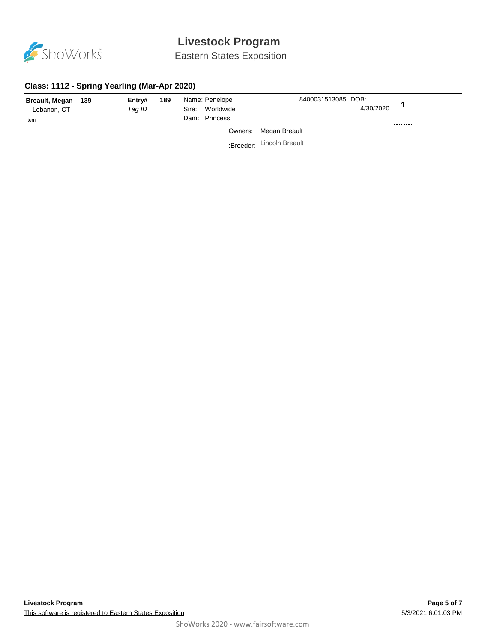

Eastern States Exposition

#### **Class: 1112 - Spring Yearling (Mar-Apr 2020)**

| Breault, Megan - 139<br>Lebanon, CT<br>Item | Entry#<br>Tag ID | 189 | Name: Penelope<br>Worldwide<br>Sire:<br>Dam: Princess | 8400031513085 DOB:<br>4/30/2020 |  |
|---------------------------------------------|------------------|-----|-------------------------------------------------------|---------------------------------|--|
|                                             |                  |     |                                                       | Owners: Megan Breault           |  |
|                                             |                  |     |                                                       | :Breeder: Lincoln Breault       |  |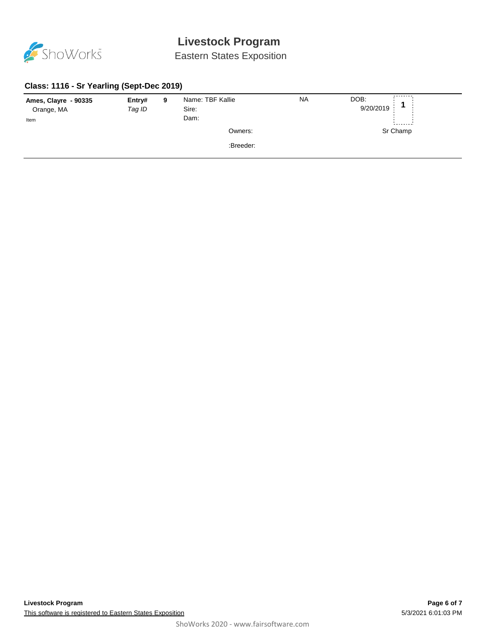

Eastern States Exposition

#### **Class: 1116 - Sr Yearling (Sept-Dec 2019)**

| Ames, Clayre - 90335 | Entry# | 9 | Name: TBF Kallie | <b>NA</b> | DOB:      |          |
|----------------------|--------|---|------------------|-----------|-----------|----------|
| Orange, MA           | Tag ID |   | Sire:            |           | 9/20/2019 |          |
| Item                 |        |   | Dam:             |           |           |          |
|                      |        |   | Owners:          |           |           | Sr Champ |
|                      |        |   | :Breeder:        |           |           |          |
|                      |        |   |                  |           |           |          |